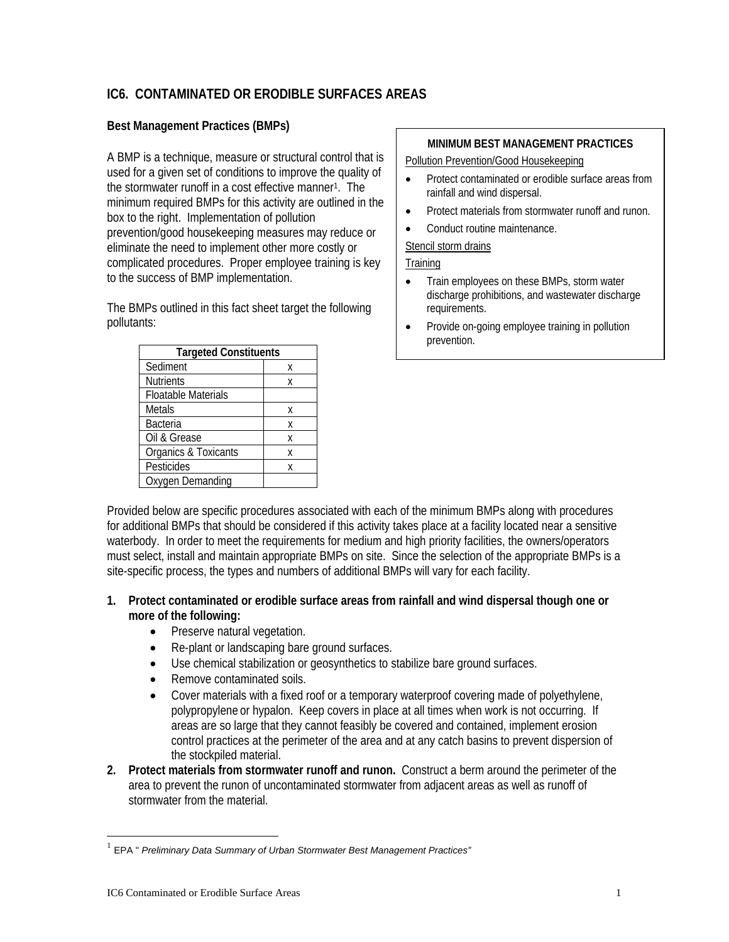# **IC6. CONTAMINATED OR ERODIBLE SURFACES AREAS**

## **Best Management Practices (BMPs)**

A BMP is a technique, measure or structural control that is used for a given set of conditions to improve the quality of the stormwater runoff in a cost effective manner1. The minimum required BMPs for this activity are outlined in the box to the right. Implementation of pollution prevention/good housekeeping measures may reduce or eliminate the need to implement other more costly or complicated procedures. Proper employee training is key to the success of BMP implementation.

The BMPs outlined in this fact sheet target the following pollutants:

| <b>Targeted Constituents</b> |   |
|------------------------------|---|
| Sediment                     | χ |
| <b>Nutrients</b>             | Χ |
| <b>Floatable Materials</b>   |   |
| Metals                       | χ |
| <b>Bacteria</b>              | X |
| Oil & Grease                 | χ |
| Organics & Toxicants         | Χ |
| Pesticides                   | χ |
| Oxygen Demanding             |   |

#### **MINIMUM BEST MANAGEMENT PRACTICES**

Pollution Prevention/Good Housekeeping

- Protect contaminated or erodible surface areas from rainfall and wind dispersal.
- Protect materials from stormwater runoff and runon.
- Conduct routine maintenance.

Stencil storm drains

#### **Training**

- Train employees on these BMPs, storm water discharge prohibitions, and wastewater discharge requirements.
- Provide on-going employee training in pollution prevention.

Provided below are specific procedures associated with each of the minimum BMPs along with procedures for additional BMPs that should be considered if this activity takes place at a facility located near a sensitive waterbody. In order to meet the requirements for medium and high priority facilities, the owners/operators must select, install and maintain appropriate BMPs on site. Since the selection of the appropriate BMPs is a site-specific process, the types and numbers of additional BMPs will vary for each facility.

- **1. Protect contaminated or erodible surface areas from rainfall and wind dispersal though one or more of the following:** 
	- Preserve natural vegetation.
	- Re-plant or landscaping bare ground surfaces.
	- Use chemical stabilization or geosynthetics to stabilize bare ground surfaces.
	- Remove contaminated soils.
	- Cover materials with a fixed roof or a temporary waterproof covering made of polyethylene, polypropylene or hypalon. Keep covers in place at all times when work is not occurring. If areas are so large that they cannot feasibly be covered and contained, implement erosion control practices at the perimeter of the area and at any catch basins to prevent dispersion of the stockpiled material.
- **2. Protect materials from stormwater runoff and runon.** Construct a berm around the perimeter of the area to prevent the runon of uncontaminated stormwater from adjacent areas as well as runoff of stormwater from the material.

 $\overline{a}$ 

<sup>1</sup> EPA " *Preliminary Data Summary of Urban Stormwater Best Management Practices"*